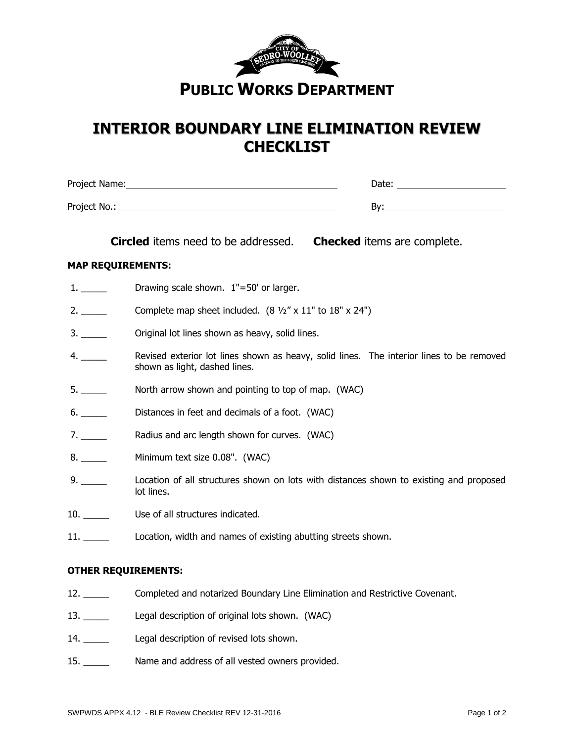

## **INTERIOR BOUNDARY LINE ELIMINATION REVIEW CHECKLIST**

Project No.: By:

Project Name: Date:

| <b>Circled</b> items need to be addressed. | <b>Checked</b> items are complete. |
|--------------------------------------------|------------------------------------|
|                                            |                                    |

## **MAP REQUIREMENTS:**

- 1. \_\_\_\_\_\_ Drawing scale shown. 1"=50' or larger.
- 2. Complete map sheet included.  $(8 \frac{1}{2} \times 11 \times 18 \times 24 \times 1)$
- 3. \_\_\_\_\_\_ Original lot lines shown as heavy, solid lines.
- 4. Shows Revised exterior lot lines shown as heavy, solid lines. The interior lines to be removed shown as light, dashed lines.
- 5. \_\_\_\_\_ North arrow shown and pointing to top of map. (WAC)
- 6. \_\_\_\_\_ Distances in feet and decimals of a foot. (WAC)
- 7. \_\_\_\_\_\_ Radius and arc length shown for curves. (WAC)
- 8. \_\_\_\_\_\_ Minimum text size 0.08". (WAC)
- 9. \_\_\_\_\_ Location of all structures shown on lots with distances shown to existing and proposed lot lines.
- 10. **Lack Use of all structures indicated.**
- 11. Location, width and names of existing abutting streets shown.

## **OTHER REQUIREMENTS:**

- 12. \_\_\_\_\_ Completed and notarized Boundary Line Elimination and Restrictive Covenant.
- 13. Legal description of original lots shown. (WAC)
- 14. \_\_\_\_\_\_ Legal description of revised lots shown.
- 15. \_\_\_\_\_ Name and address of all vested owners provided.